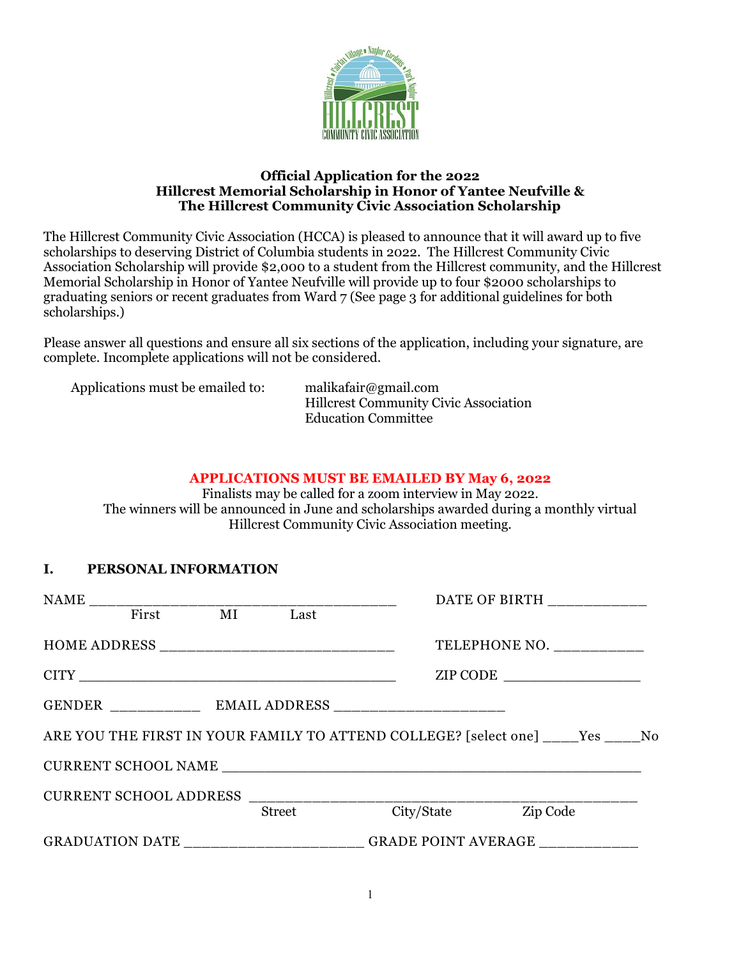

#### **Official Application for the 2022 Hillcrest Memorial Scholarship in Honor of Yantee Neufville & The Hillcrest Community Civic Association Scholarship**

The Hillcrest Community Civic Association (HCCA) is pleased to announce that it will award up to five scholarships to deserving District of Columbia students in 2022. The Hillcrest Community Civic Association Scholarship will provide \$2,000 to a student from the Hillcrest community, and the Hillcrest Memorial Scholarship in Honor of Yantee Neufville will provide up to four \$2000 scholarships to graduating seniors or recent graduates from Ward 7 (See page 3 for additional guidelines for both scholarships.)

Please answer all questions and ensure all six sections of the application, including your signature, are complete. Incomplete applications will not be considered.

#### **APPLICATIONS MUST BE EMAILED BY May 6, 2022**

Finalists may be called for a zoom interview in May 2022. The winners will be announced in June and scholarships awarded during a monthly virtual Hillcrest Community Civic Association meeting.

### **I. PERSONAL INFORMATION**

|                                                                         |                                       |  |        |                                                                           |  | DATE OF BIRTH _____________ |  |
|-------------------------------------------------------------------------|---------------------------------------|--|--------|---------------------------------------------------------------------------|--|-----------------------------|--|
|                                                                         | First MI Last                         |  |        |                                                                           |  |                             |  |
|                                                                         |                                       |  |        |                                                                           |  | TELEPHONE NO. __________    |  |
|                                                                         |                                       |  |        |                                                                           |  | ZIP CODE                    |  |
|                                                                         |                                       |  |        |                                                                           |  |                             |  |
| ARE YOU THE FIRST IN YOUR FAMILY TO ATTEND COLLEGE? [select one] Yes No |                                       |  |        |                                                                           |  |                             |  |
|                                                                         |                                       |  |        |                                                                           |  |                             |  |
|                                                                         | CURRENT SCHOOL ADDRESS ______________ |  |        |                                                                           |  |                             |  |
|                                                                         |                                       |  | Street |                                                                           |  | City/State Zip Code         |  |
|                                                                         |                                       |  |        | GRADUATION DATE ________________________GRADE POINT AVERAGE _____________ |  |                             |  |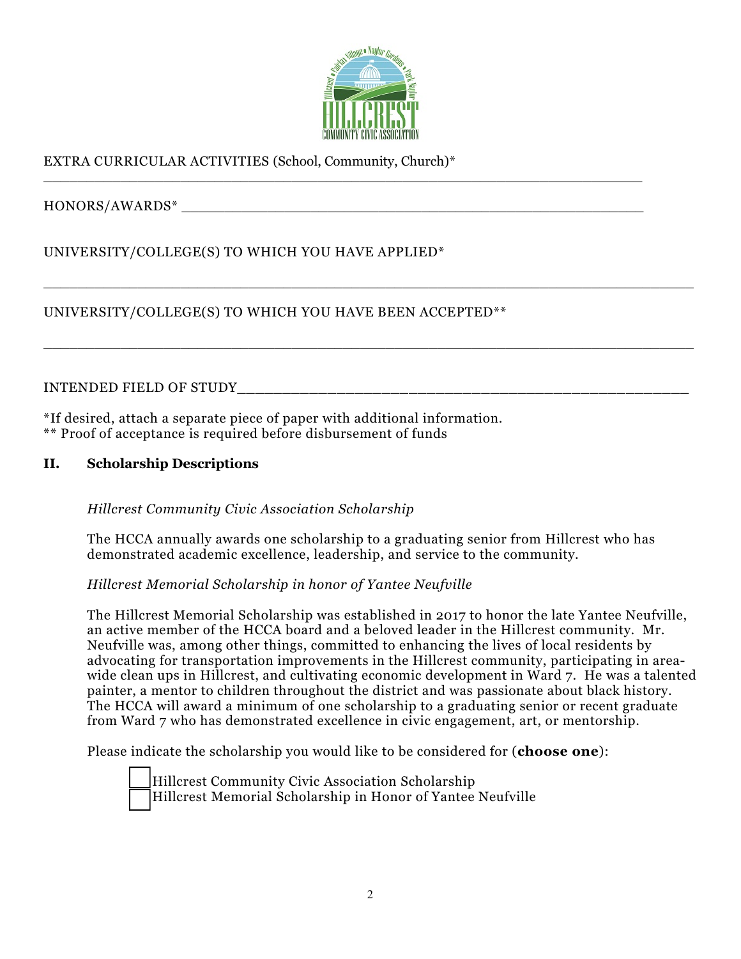

\_\_\_\_\_\_\_\_\_\_\_\_\_\_\_\_\_\_\_\_\_\_\_\_\_\_\_\_\_\_\_\_\_\_\_\_\_\_\_\_\_\_\_\_\_\_\_\_\_\_\_\_\_\_\_\_\_\_\_\_\_\_\_\_\_\_\_\_\_\_\_\_\_\_\_\_

\_\_\_\_\_\_\_\_\_\_\_\_\_\_\_\_\_\_\_\_\_\_\_\_\_\_\_\_\_\_\_\_\_\_\_\_\_\_\_\_\_\_\_\_\_\_\_\_\_\_\_\_\_\_\_\_\_\_\_\_\_\_\_\_\_\_\_\_\_\_\_\_\_\_\_\_

\_\_\_\_\_\_\_\_\_\_\_\_\_\_\_\_\_\_\_\_\_\_\_\_\_\_\_\_\_\_\_\_\_\_\_\_\_\_\_\_\_\_\_\_\_\_\_\_\_\_\_\_\_\_\_\_\_\_\_\_\_\_\_\_\_\_\_\_\_\_

# EXTRA CURRICULAR ACTIVITIES (School, Community, Church)\*

HONORS/AWARDS\* \_\_\_\_\_\_\_\_\_\_\_\_\_\_\_\_\_\_\_\_\_\_\_\_\_\_\_\_\_\_\_\_\_\_\_\_\_\_\_\_\_\_\_\_\_\_\_\_\_\_\_\_\_\_

UNIVERSITY/COLLEGE(S) TO WHICH YOU HAVE APPLIED\*

UNIVERSITY/COLLEGE(S) TO WHICH YOU HAVE BEEN ACCEPTED\*\*

INTENDED FIELD OF STUDY\_\_\_\_\_\_\_\_\_\_\_\_\_\_\_\_\_\_\_\_\_\_\_\_\_\_\_\_\_\_\_\_\_\_\_\_\_\_\_\_\_\_\_\_\_\_\_\_\_\_

\*If desired, attach a separate piece of paper with additional information. \*\* Proof of acceptance is required before disbursement of funds

### **II. Scholarship Descriptions**

### *Hillcrest Community Civic Association Scholarship*

The HCCA annually awards one scholarship to a graduating senior from Hillcrest who has demonstrated academic excellence, leadership, and service to the community.

### *Hillcrest Memorial Scholarship in honor of Yantee Neufville*

The Hillcrest Memorial Scholarship was established in 2017 to honor the late Yantee Neufville, an active member of the HCCA board and a beloved leader in the Hillcrest community. Mr. Neufville was, among other things, committed to enhancing the lives of local residents by advocating for transportation improvements in the Hillcrest community, participating in areawide clean ups in Hillcrest, and cultivating economic development in Ward 7. He was a talented painter, a mentor to children throughout the district and was passionate about black history. The HCCA will award a minimum of one scholarship to a graduating senior or recent graduate from Ward 7 who has demonstrated excellence in civic engagement, art, or mentorship.

Please indicate the scholarship you would like to be considered for (**choose one**):

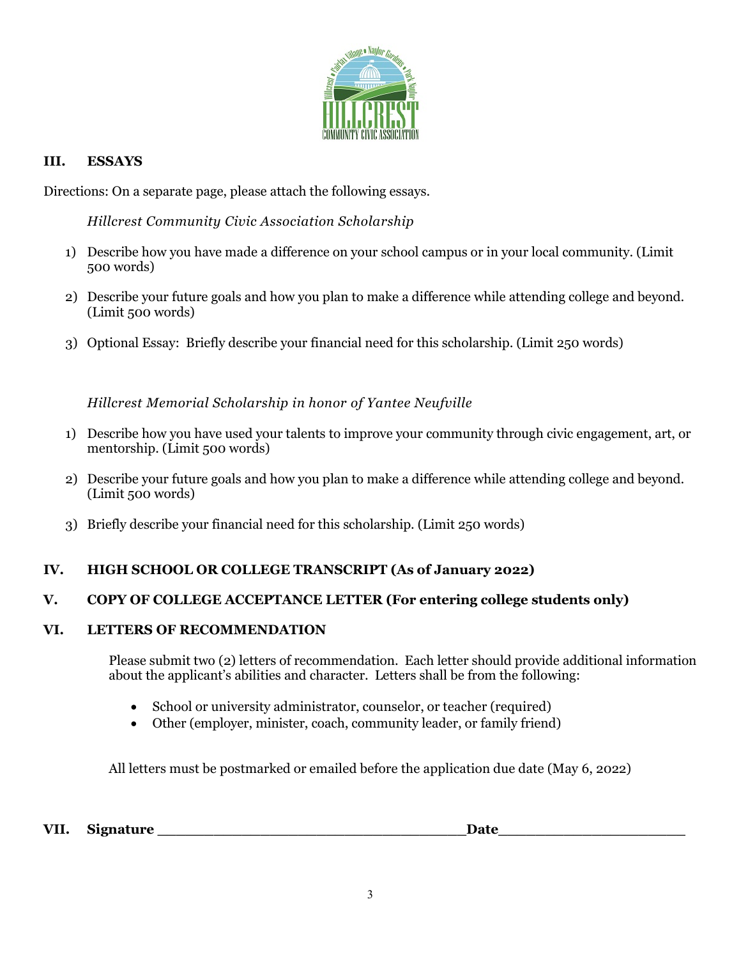

## **III. ESSAYS**

Directions: On a separate page, please attach the following essays.

*Hillcrest Community Civic Association Scholarship*

- 1) Describe how you have made a difference on your school campus or in your local community. (Limit 500 words)
- 2) Describe your future goals and how you plan to make a difference while attending college and beyond. (Limit 500 words)
- 3) Optional Essay: Briefly describe your financial need for this scholarship. (Limit 250 words)

*Hillcrest Memorial Scholarship in honor of Yantee Neufville*

- 1) Describe how you have used your talents to improve your community through civic engagement, art, or mentorship. (Limit 500 words)
- 2) Describe your future goals and how you plan to make a difference while attending college and beyond. (Limit 500 words)
- 3) Briefly describe your financial need for this scholarship. (Limit 250 words)

## **IV. HIGH SCHOOL OR COLLEGE TRANSCRIPT (As of January 2022)**

### **V. COPY OF COLLEGE ACCEPTANCE LETTER (For entering college students only)**

### **VI. LETTERS OF RECOMMENDATION**

Please submit two (2) letters of recommendation. Each letter should provide additional information about the applicant's abilities and character. Letters shall be from the following:

- School or university administrator, counselor, or teacher (required)
- Other (employer, minister, coach, community leader, or family friend)

All letters must be postmarked or emailed before the application due date (May 6, 2022)

VII. Signature **Date**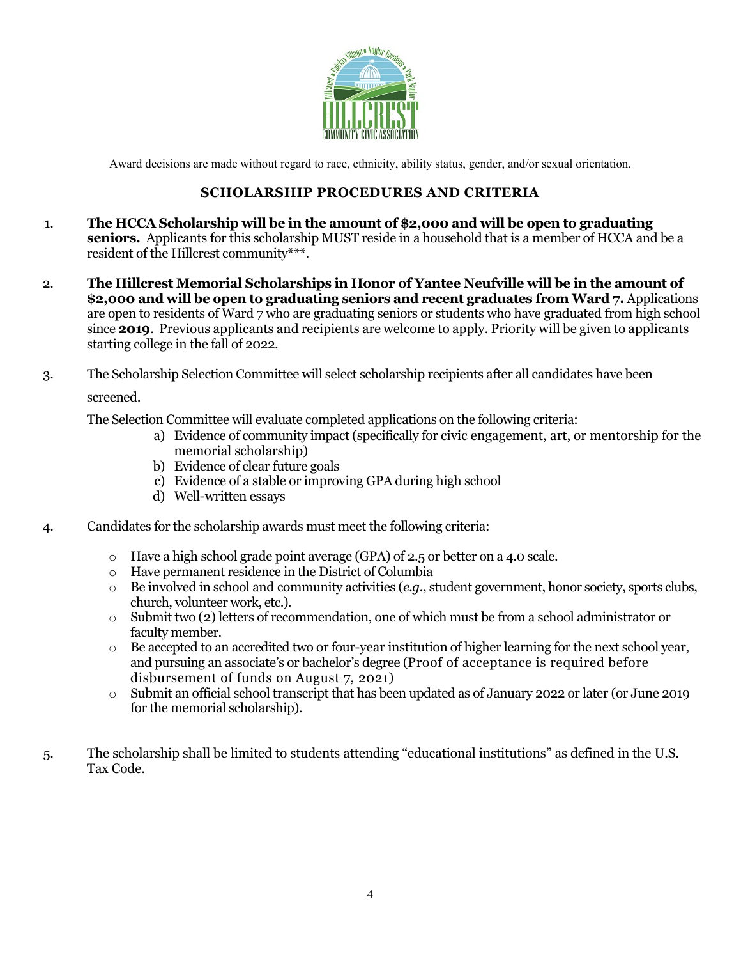

Award decisions are made without regard to race, ethnicity, ability status, gender, and/or sexual orientation.

## **SCHOLARSHIP PROCEDURES AND CRITERIA**

- 1. **The HCCA Scholarship will be in the amount of \$2,000 and will be open to graduating seniors.** Applicants for this scholarship MUST reside in a household that is a member of HCCA and be a resident of the Hillcrest community\*\*\*.
- 2. **The Hillcrest Memorial Scholarships in Honor of Yantee Neufville will be in the amount of \$2,000 and will be open to graduating seniors and recent graduates from Ward 7.** Applications are open to residents of Ward 7 who are graduating seniors or students who have graduated from high school since **2019**. Previous applicants and recipients are welcome to apply. Priority will be given to applicants starting college in the fall of 2022.

3. The Scholarship Selection Committee will select scholarship recipients after all candidates have been

### screened.

The Selection Committee will evaluate completed applications on the following criteria:

- a) Evidence of community impact (specifically for civic engagement, art, or mentorship for the memorial scholarship)
- b) Evidence of clear future goals
- c) Evidence of a stable or improving GPA during high school
- d) Well-written essays
- 4. Candidates for the scholarship awards must meet the following criteria:
	- o Have a high school grade point average (GPA) of 2.5 or better on a 4.0 scale.
	- o Have permanent residence in the District of Columbia
	- o Be involved in school and community activities (*e.g.*, student government, honor society, sports clubs, church, volunteer work, etc.).
	- $\circ$  Submit two (2) letters of recommendation, one of which must be from a school administrator or faculty member.
	- $\circ$  Be accepted to an accredited two or four-year institution of higher learning for the next school year, and pursuing an associate's or bachelor's degree (Proof of acceptance is required before disbursement of funds on August 7, 2021)
	- o Submit an official school transcript that has been updated as of January 2022 or later (or June 2019 for the memorial scholarship).
- 5. The scholarship shall be limited to students attending "educational institutions" as defined in the U.S. Tax Code.